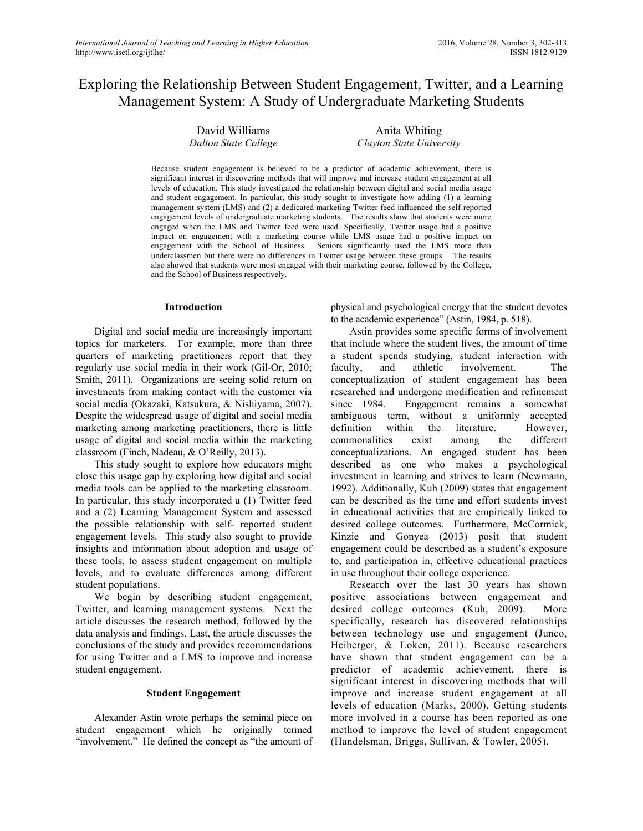# Exploring the Relationship Between Student Engagement, Twitter, and a Learning Management System: A Study of Undergraduate Marketing Students

David Williams *Dalton State College*

Anita Whiting *Clayton State University*

Because student engagement is believed to be a predictor of academic achievement, there is significant interest in discovering methods that will improve and increase student engagement at all levels of education. This study investigated the relationship between digital and social media usage and student engagement. In particular, this study sought to investigate how adding (1) a learning management system (LMS) and (2) a dedicated marketing Twitter feed influenced the self-reported engagement levels of undergraduate marketing students. The results show that students were more engaged when the LMS and Twitter feed were used. Specifically, Twitter usage had a positive impact on engagement with a marketing course while LMS usage had a positive impact on engagement with the School of Business. Seniors significantly used the LMS more than underclassmen but there were no differences in Twitter usage between these groups. The results also showed that students were most engaged with their marketing course, followed by the College, and the School of Business respectively.

#### **Introduction**

Digital and social media are increasingly important topics for marketers. For example, more than three quarters of marketing practitioners report that they regularly use social media in their work (Gil-Or, 2010; Smith, 2011). Organizations are seeing solid return on investments from making contact with the customer via social media (Okazaki, Katsukura, & Nishiyama, 2007). Despite the widespread usage of digital and social media marketing among marketing practitioners, there is little usage of digital and social media within the marketing classroom (Finch, Nadeau, & O'Reilly, 2013).

This study sought to explore how educators might close this usage gap by exploring how digital and social media tools can be applied to the marketing classroom. In particular, this study incorporated a (1) Twitter feed and a (2) Learning Management System and assessed the possible relationship with self- reported student engagement levels. This study also sought to provide insights and information about adoption and usage of these tools, to assess student engagement on multiple levels, and to evaluate differences among different student populations.

We begin by describing student engagement, Twitter, and learning management systems. Next the article discusses the research method, followed by the data analysis and findings. Last, the article discusses the conclusions of the study and provides recommendations for using Twitter and a LMS to improve and increase student engagement.

#### **Student Engagement**

Alexander Astin wrote perhaps the seminal piece on student engagement which he originally termed "involvement." He defined the concept as "the amount of physical and psychological energy that the student devotes to the academic experience" (Astin, 1984, p. 518).

Astin provides some specific forms of involvement that include where the student lives, the amount of time a student spends studying, student interaction with faculty, and athletic involvement. The conceptualization of student engagement has been researched and undergone modification and refinement since 1984. Engagement remains a somewhat ambiguous term, without a uniformly accepted definition within the literature. However, commonalities exist among the different conceptualizations. An engaged student has been described as one who makes a psychological investment in learning and strives to learn (Newmann, 1992). Additionally, Kuh (2009) states that engagement can be described as the time and effort students invest in educational activities that are empirically linked to desired college outcomes. Furthermore, McCormick, Kinzie and Gonyea (2013) posit that student engagement could be described as a student's exposure to, and participation in, effective educational practices in use throughout their college experience.

Research over the last 30 years has shown positive associations between engagement and desired college outcomes (Kuh, 2009). More specifically, research has discovered relationships between technology use and engagement (Junco, Heiberger, & Loken, 2011). Because researchers have shown that student engagement can be a predictor of academic achievement, there is significant interest in discovering methods that will improve and increase student engagement at all levels of education (Marks, 2000). Getting students more involved in a course has been reported as one method to improve the level of student engagement (Handelsman, Briggs, Sullivan, & Towler, 2005).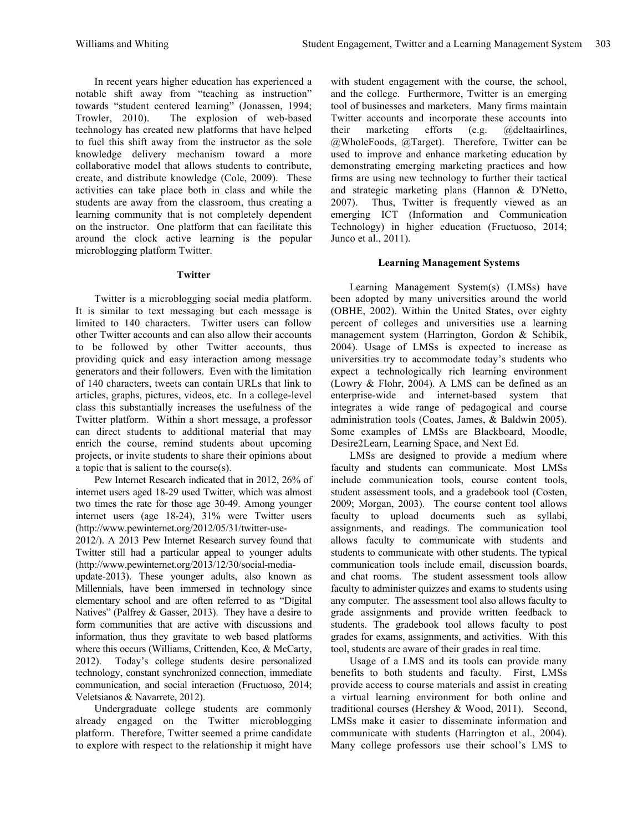In recent years higher education has experienced a notable shift away from "teaching as instruction" towards "student centered learning" (Jonassen, 1994;<br>Trowler, 2010). The explosion of web-based The explosion of web-based technology has created new platforms that have helped to fuel this shift away from the instructor as the sole knowledge delivery mechanism toward a more collaborative model that allows students to contribute, create, and distribute knowledge (Cole, 2009). These activities can take place both in class and while the students are away from the classroom, thus creating a learning community that is not completely dependent on the instructor. One platform that can facilitate this around the clock active learning is the popular microblogging platform Twitter.

#### **Twitter**

Twitter is a microblogging social media platform. It is similar to text messaging but each message is limited to 140 characters. Twitter users can follow other Twitter accounts and can also allow their accounts to be followed by other Twitter accounts, thus providing quick and easy interaction among message generators and their followers. Even with the limitation of 140 characters, tweets can contain URLs that link to articles, graphs, pictures, videos, etc. In a college-level class this substantially increases the usefulness of the Twitter platform. Within a short message, a professor can direct students to additional material that may enrich the course, remind students about upcoming projects, or invite students to share their opinions about a topic that is salient to the course(s).

Pew Internet Research indicated that in 2012, 26% of internet users aged 18-29 used Twitter, which was almost two times the rate for those age 30-49. Among younger internet users (age 18-24), 31% were Twitter users (http://www.pewinternet.org/2012/05/31/twitter-use-

2012/). A 2013 Pew Internet Research survey found that Twitter still had a particular appeal to younger adults (http://www.pewinternet.org/2013/12/30/social-media-

update-2013). These younger adults, also known as Millennials, have been immersed in technology since elementary school and are often referred to as "Digital Natives" (Palfrey & Gasser, 2013). They have a desire to form communities that are active with discussions and information, thus they gravitate to web based platforms where this occurs (Williams, Crittenden, Keo, & McCarty, 2012). Today's college students desire personalized technology, constant synchronized connection, immediate communication, and social interaction (Fructuoso, 2014; Veletsianos & Navarrete, 2012).

Undergraduate college students are commonly already engaged on the Twitter microblogging platform. Therefore, Twitter seemed a prime candidate to explore with respect to the relationship it might have

with student engagement with the course, the school, and the college. Furthermore, Twitter is an emerging tool of businesses and marketers. Many firms maintain Twitter accounts and incorporate these accounts into their marketing efforts (e.g. @deltaairlines, @WholeFoods, @Target). Therefore, Twitter can be used to improve and enhance marketing education by demonstrating emerging marketing practices and how firms are using new technology to further their tactical and strategic marketing plans (Hannon & D'Netto, 2007). Thus, Twitter is frequently viewed as an emerging ICT (Information and Communication Technology) in higher education (Fructuoso, 2014; Junco et al., 2011).

# **Learning Management Systems**

Learning Management System(s) (LMSs) have been adopted by many universities around the world (OBHE, 2002). Within the United States, over eighty percent of colleges and universities use a learning management system (Harrington, Gordon & Schibik, 2004). Usage of LMSs is expected to increase as universities try to accommodate today's students who expect a technologically rich learning environment (Lowry & Flohr, 2004). A LMS can be defined as an enterprise-wide and internet-based system that integrates a wide range of pedagogical and course administration tools (Coates, James, & Baldwin 2005). Some examples of LMSs are Blackboard, Moodle, Desire2Learn, Learning Space, and Next Ed.

LMSs are designed to provide a medium where faculty and students can communicate. Most LMSs include communication tools, course content tools, student assessment tools, and a gradebook tool (Costen, 2009; Morgan, 2003). The course content tool allows faculty to upload documents such as syllabi, assignments, and readings. The communication tool allows faculty to communicate with students and students to communicate with other students. The typical communication tools include email, discussion boards, and chat rooms. The student assessment tools allow faculty to administer quizzes and exams to students using any computer. The assessment tool also allows faculty to grade assignments and provide written feedback to students. The gradebook tool allows faculty to post grades for exams, assignments, and activities. With this tool, students are aware of their grades in real time.

Usage of a LMS and its tools can provide many benefits to both students and faculty. First, LMSs provide access to course materials and assist in creating a virtual learning environment for both online and traditional courses (Hershey & Wood, 2011). Second, LMSs make it easier to disseminate information and communicate with students (Harrington et al., 2004). Many college professors use their school's LMS to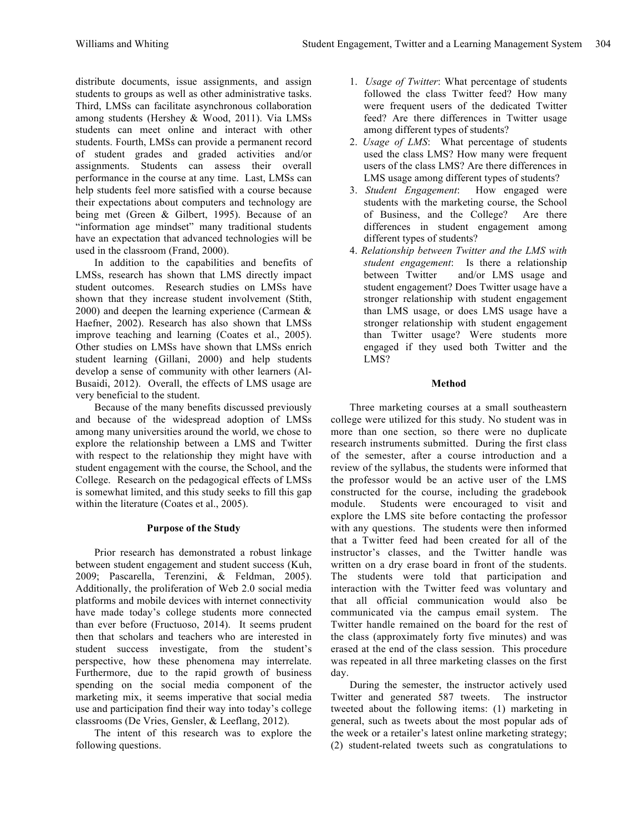distribute documents, issue assignments, and assign students to groups as well as other administrative tasks. Third, LMSs can facilitate asynchronous collaboration among students (Hershey & Wood, 2011). Via LMSs students can meet online and interact with other students. Fourth, LMSs can provide a permanent record of student grades and graded activities and/or assignments. Students can assess their overall performance in the course at any time. Last, LMSs can help students feel more satisfied with a course because their expectations about computers and technology are being met (Green & Gilbert, 1995). Because of an "information age mindset" many traditional students have an expectation that advanced technologies will be used in the classroom (Frand, 2000).

In addition to the capabilities and benefits of LMSs, research has shown that LMS directly impact student outcomes. Research studies on LMSs have shown that they increase student involvement (Stith, 2000) and deepen the learning experience (Carmean  $\&$ Haefner, 2002). Research has also shown that LMSs improve teaching and learning (Coates et al., 2005). Other studies on LMSs have shown that LMSs enrich student learning (Gillani, 2000) and help students develop a sense of community with other learners (Al-Busaidi, 2012). Overall, the effects of LMS usage are very beneficial to the student.

Because of the many benefits discussed previously and because of the widespread adoption of LMSs among many universities around the world, we chose to explore the relationship between a LMS and Twitter with respect to the relationship they might have with student engagement with the course, the School, and the College. Research on the pedagogical effects of LMSs is somewhat limited, and this study seeks to fill this gap within the literature (Coates et al., 2005).

## **Purpose of the Study**

Prior research has demonstrated a robust linkage between student engagement and student success (Kuh, 2009; Pascarella, Terenzini, & Feldman, 2005). Additionally, the proliferation of Web 2.0 social media platforms and mobile devices with internet connectivity have made today's college students more connected than ever before (Fructuoso, 2014). It seems prudent then that scholars and teachers who are interested in student success investigate, from the student's perspective, how these phenomena may interrelate. Furthermore, due to the rapid growth of business spending on the social media component of the marketing mix, it seems imperative that social media use and participation find their way into today's college classrooms (De Vries, Gensler, & Leeflang, 2012).

The intent of this research was to explore the following questions.

- 1. *Usage of Twitter*: What percentage of students followed the class Twitter feed? How many were frequent users of the dedicated Twitter feed? Are there differences in Twitter usage among different types of students?
- 2. *Usage of LMS*: What percentage of students used the class LMS? How many were frequent users of the class LMS? Are there differences in LMS usage among different types of students?
- 3. *Student Engagement*: How engaged were students with the marketing course, the School of Business, and the College? Are there differences in student engagement among different types of students?
- 4. *Relationship between Twitter and the LMS with student engagement*: Is there a relationship between Twitter and/or LMS usage and student engagement? Does Twitter usage have a stronger relationship with student engagement than LMS usage, or does LMS usage have a stronger relationship with student engagement than Twitter usage? Were students more engaged if they used both Twitter and the LMS?

# **Method**

Three marketing courses at a small southeastern college were utilized for this study. No student was in more than one section, so there were no duplicate research instruments submitted. During the first class of the semester, after a course introduction and a review of the syllabus, the students were informed that the professor would be an active user of the LMS constructed for the course, including the gradebook module. Students were encouraged to visit and explore the LMS site before contacting the professor with any questions. The students were then informed that a Twitter feed had been created for all of the instructor's classes, and the Twitter handle was written on a dry erase board in front of the students. The students were told that participation and interaction with the Twitter feed was voluntary and that all official communication would also be communicated via the campus email system. The Twitter handle remained on the board for the rest of the class (approximately forty five minutes) and was erased at the end of the class session. This procedure was repeated in all three marketing classes on the first day.

During the semester, the instructor actively used Twitter and generated 587 tweets. The instructor tweeted about the following items: (1) marketing in general, such as tweets about the most popular ads of the week or a retailer's latest online marketing strategy; (2) student-related tweets such as congratulations to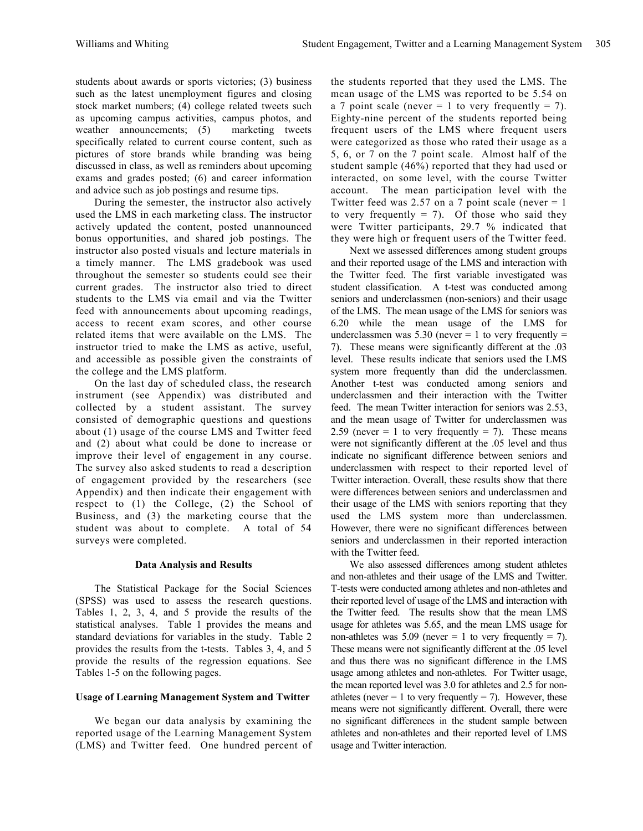students about awards or sports victories; (3) business such as the latest unemployment figures and closing stock market numbers; (4) college related tweets such as upcoming campus activities, campus photos, and weather announcements; (5) marketing tweets specifically related to current course content, such as pictures of store brands while branding was being discussed in class, as well as reminders about upcoming exams and grades posted; (6) and career information and advice such as job postings and resume tips.

During the semester, the instructor also actively used the LMS in each marketing class. The instructor actively updated the content, posted unannounced bonus opportunities, and shared job postings. The instructor also posted visuals and lecture materials in a timely manner. The LMS gradebook was used throughout the semester so students could see their current grades. The instructor also tried to direct students to the LMS via email and via the Twitter feed with announcements about upcoming readings, access to recent exam scores, and other course related items that were available on the LMS. The instructor tried to make the LMS as active, useful, and accessible as possible given the constraints of the college and the LMS platform.

On the last day of scheduled class, the research instrument (see Appendix) was distributed and collected by a student assistant. The survey consisted of demographic questions and questions about (1) usage of the course LMS and Twitter feed and (2) about what could be done to increase or improve their level of engagement in any course. The survey also asked students to read a description of engagement provided by the researchers (see Appendix) and then indicate their engagement with respect to (1) the College, (2) the School of Business, and (3) the marketing course that the student was about to complete. A total of 54 surveys were completed.

## **Data Analysis and Results**

The Statistical Package for the Social Sciences (SPSS) was used to assess the research questions. Tables 1, 2, 3, 4, and 5 provide the results of the statistical analyses. Table 1 provides the means and standard deviations for variables in the study. Table 2 provides the results from the t-tests. Tables 3, 4, and 5 provide the results of the regression equations. See Tables 1-5 on the following pages.

## **Usage of Learning Management System and Twitter**

We began our data analysis by examining the reported usage of the Learning Management System (LMS) and Twitter feed. One hundred percent of the students reported that they used the LMS. The mean usage of the LMS was reported to be 5.54 on a 7 point scale (never  $= 1$  to very frequently  $= 7$ ). Eighty-nine percent of the students reported being frequent users of the LMS where frequent users were categorized as those who rated their usage as a 5, 6, or 7 on the 7 point scale. Almost half of the student sample (46%) reported that they had used or interacted, on some level, with the course Twitter account. The mean participation level with the Twitter feed was 2.57 on a 7 point scale (never  $= 1$ ) to very frequently  $= 7$ ). Of those who said they were Twitter participants, 29.7 % indicated that they were high or frequent users of the Twitter feed.

Next we assessed differences among student groups and their reported usage of the LMS and interaction with the Twitter feed. The first variable investigated was student classification. A t-test was conducted among seniors and underclassmen (non-seniors) and their usage of the LMS. The mean usage of the LMS for seniors was 6.20 while the mean usage of the LMS for underclassmen was  $5.30$  (never = 1 to very frequently = 7). These means were significantly different at the .03 level. These results indicate that seniors used the LMS system more frequently than did the underclassmen. Another t-test was conducted among seniors and underclassmen and their interaction with the Twitter feed. The mean Twitter interaction for seniors was 2.53, and the mean usage of Twitter for underclassmen was 2.59 (never = 1 to very frequently = 7). These means were not significantly different at the .05 level and thus indicate no significant difference between seniors and underclassmen with respect to their reported level of Twitter interaction. Overall, these results show that there were differences between seniors and underclassmen and their usage of the LMS with seniors reporting that they used the LMS system more than underclassmen. However, there were no significant differences between seniors and underclassmen in their reported interaction with the Twitter feed.

We also assessed differences among student athletes and non-athletes and their usage of the LMS and Twitter. T-tests were conducted among athletes and non-athletes and their reported level of usage of the LMS and interaction with the Twitter feed. The results show that the mean LMS usage for athletes was 5.65, and the mean LMS usage for non-athletes was  $5.09$  (never = 1 to very frequently = 7). These means were not significantly different at the .05 level and thus there was no significant difference in the LMS usage among athletes and non-athletes. For Twitter usage, the mean reported level was 3.0 for athletes and 2.5 for nonathletes (never  $= 1$  to very frequently  $= 7$ ). However, these means were not significantly different. Overall, there were no significant differences in the student sample between athletes and non-athletes and their reported level of LMS usage and Twitter interaction.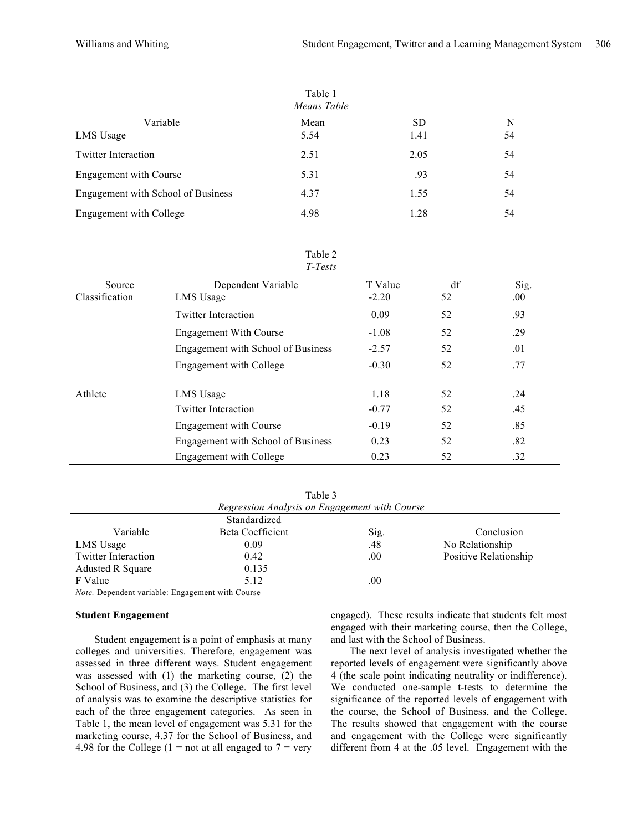| Means Table                        |      |           |    |  |  |
|------------------------------------|------|-----------|----|--|--|
| Variable                           | Mean | <b>SD</b> | N  |  |  |
| LMS Usage                          | 5.54 | 1.41      | 54 |  |  |
| <b>Twitter Interaction</b>         | 2.51 | 2.05      | 54 |  |  |
| Engagement with Course             | 5.31 | .93       | 54 |  |  |
| Engagement with School of Business | 4.37 | 1.55      | 54 |  |  |
| Engagement with College            | 4.98 | 1.28      | 54 |  |  |

#### Table 2 *T-Tests*

| Source         | Dependent Variable                 | T Value | df | Sig. |
|----------------|------------------------------------|---------|----|------|
| Classification | LMS Usage                          | $-2.20$ | 52 | .00. |
|                | <b>Twitter Interaction</b>         | 0.09    | 52 | .93  |
|                | <b>Engagement With Course</b>      | $-1.08$ | 52 | .29  |
|                | Engagement with School of Business | $-2.57$ | 52 | .01  |
|                | Engagement with College            | $-0.30$ | 52 | .77  |
| Athlete        | LMS Usage                          | 1.18    | 52 | .24  |
|                | <b>Twitter Interaction</b>         | $-0.77$ | 52 | .45  |
|                | <b>Engagement with Course</b>      | $-0.19$ | 52 | .85  |
|                | Engagement with School of Business | 0.23    | 52 | .82  |
|                | Engagement with College            | 0.23    | 52 | .32  |

Table 3 *Regression Analysis on Engagement with Course*

|                            | Standardized     |          |                       |
|----------------------------|------------------|----------|-----------------------|
| Variable                   | Beta Coefficient | Sig.     | Conclusion            |
| LMS Usage                  | 0.09             | .48      | No Relationship       |
| <b>Twitter Interaction</b> | 0.42             | .00.     | Positive Relationship |
| Adusted R Square           | 0.135            |          |                       |
| F Value                    | 5.12             | $_{.00}$ |                       |

*Note.* Dependent variable: Engagement with Course

#### **Student Engagement**

Student engagement is a point of emphasis at many colleges and universities. Therefore, engagement was assessed in three different ways. Student engagement was assessed with (1) the marketing course, (2) the School of Business, and (3) the College. The first level of analysis was to examine the descriptive statistics for each of the three engagement categories. As seen in Table 1, the mean level of engagement was 5.31 for the marketing course, 4.37 for the School of Business, and 4.98 for the College (1 = not at all engaged to  $7 = \text{very}$ )

engaged). These results indicate that students felt most engaged with their marketing course, then the College, and last with the School of Business.

The next level of analysis investigated whether the reported levels of engagement were significantly above 4 (the scale point indicating neutrality or indifference). We conducted one-sample t-tests to determine the significance of the reported levels of engagement with the course, the School of Business, and the College. The results showed that engagement with the course and engagement with the College were significantly different from 4 at the .05 level. Engagement with the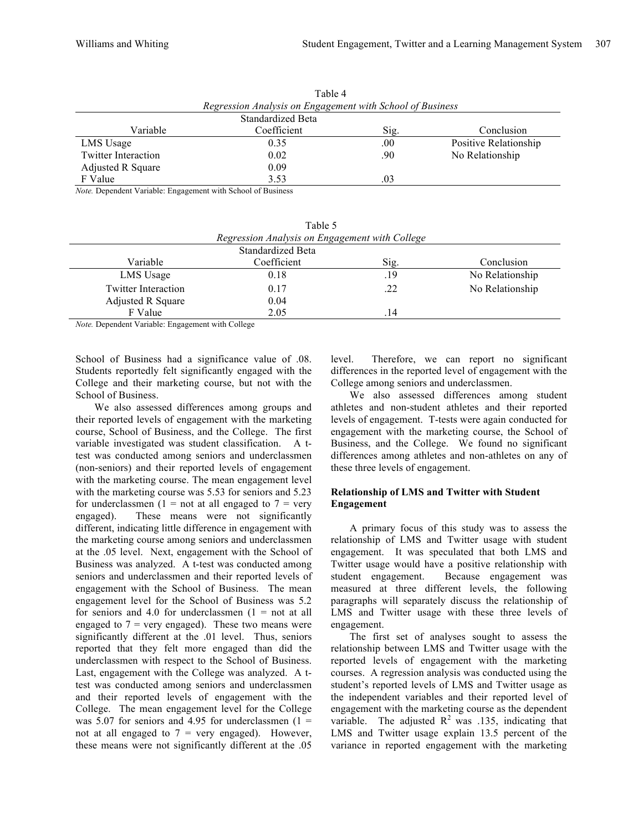| 1 apie 4                                                  |      |         |                       |  |  |  |
|-----------------------------------------------------------|------|---------|-----------------------|--|--|--|
| Regression Analysis on Engagement with School of Business |      |         |                       |  |  |  |
| Standardized Beta                                         |      |         |                       |  |  |  |
| Variable<br>Coefficient<br>Conclusion<br>Sig.             |      |         |                       |  |  |  |
| LMS Usage                                                 | 0.35 | $.00\,$ | Positive Relationship |  |  |  |
| <b>Twitter Interaction</b>                                | 0.02 | .90     | No Relationship       |  |  |  |
| Adjusted R Square                                         | 0.09 |         |                       |  |  |  |
| F Value                                                   | 3.53 | .03     |                       |  |  |  |

Table 4

*Note.* Dependent Variable: Engagement with School of Business

| Table 5                                        |                   |     |                 |  |  |  |
|------------------------------------------------|-------------------|-----|-----------------|--|--|--|
| Regression Analysis on Engagement with College |                   |     |                 |  |  |  |
|                                                | Standardized Beta |     |                 |  |  |  |
| Variable<br>Coefficient<br>Conclusion<br>Sig.  |                   |     |                 |  |  |  |
| LMS Usage                                      | 0.18              | .19 | No Relationship |  |  |  |
| <b>Twitter Interaction</b>                     | 0.17              | .22 | No Relationship |  |  |  |
| <b>Adjusted R Square</b>                       | 0.04              |     |                 |  |  |  |
| F Value                                        | 2.05              | 14  |                 |  |  |  |

*Note.* Dependent Variable: Engagement with College

School of Business had a significance value of .08. Students reportedly felt significantly engaged with the College and their marketing course, but not with the School of Business.

We also assessed differences among groups and their reported levels of engagement with the marketing course, School of Business, and the College. The first variable investigated was student classification. A ttest was conducted among seniors and underclassmen (non-seniors) and their reported levels of engagement with the marketing course. The mean engagement level with the marketing course was 5.53 for seniors and 5.23 for underclassmen (1 = not at all engaged to  $7$  = very engaged). These means were not significantly different, indicating little difference in engagement with the marketing course among seniors and underclassmen at the .05 level. Next, engagement with the School of Business was analyzed. A t-test was conducted among seniors and underclassmen and their reported levels of engagement with the School of Business. The mean engagement level for the School of Business was 5.2 for seniors and 4.0 for underclassmen  $(1 = not at all$ engaged to  $7$  = very engaged). These two means were significantly different at the .01 level. Thus, seniors reported that they felt more engaged than did the underclassmen with respect to the School of Business. Last, engagement with the College was analyzed. A ttest was conducted among seniors and underclassmen and their reported levels of engagement with the College. The mean engagement level for the College was 5.07 for seniors and 4.95 for underclassmen  $(1 =$ not at all engaged to  $7$  = very engaged). However, these means were not significantly different at the .05

level. Therefore, we can report no significant differences in the reported level of engagement with the College among seniors and underclassmen.

We also assessed differences among student athletes and non-student athletes and their reported levels of engagement. T-tests were again conducted for engagement with the marketing course, the School of Business, and the College. We found no significant differences among athletes and non-athletes on any of these three levels of engagement.

## **Relationship of LMS and Twitter with Student Engagement**

A primary focus of this study was to assess the relationship of LMS and Twitter usage with student engagement. It was speculated that both LMS and Twitter usage would have a positive relationship with student engagement. Because engagement was measured at three different levels, the following paragraphs will separately discuss the relationship of LMS and Twitter usage with these three levels of engagement.

The first set of analyses sought to assess the relationship between LMS and Twitter usage with the reported levels of engagement with the marketing courses. A regression analysis was conducted using the student's reported levels of LMS and Twitter usage as the independent variables and their reported level of engagement with the marketing course as the dependent variable. The adjusted  $R^2$  was .135, indicating that LMS and Twitter usage explain 13.5 percent of the variance in reported engagement with the marketing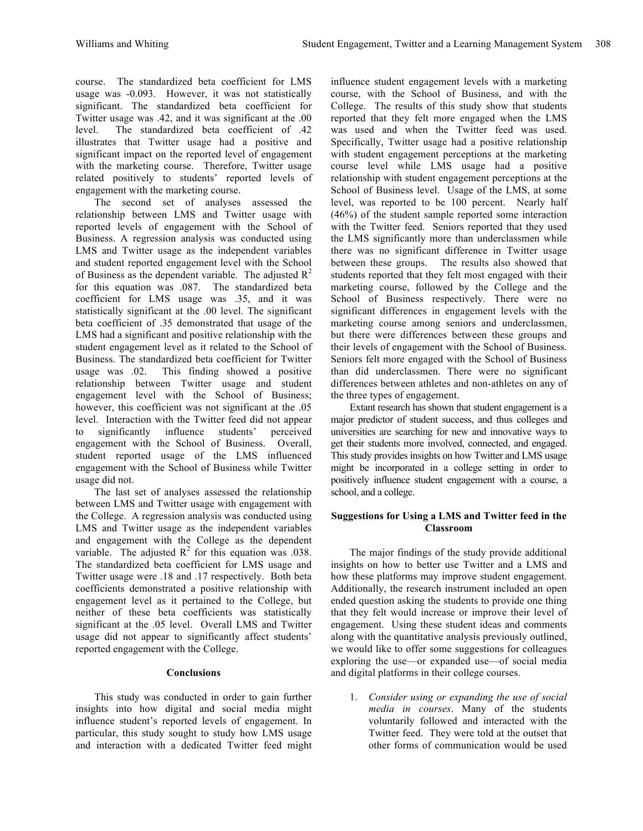course. The standardized beta coefficient for LMS usage was -0.093. However, it was not statistically significant. The standardized beta coefficient for Twitter usage was .42, and it was significant at the .00 level. The standardized beta coefficient of .42 illustrates that Twitter usage had a positive and significant impact on the reported level of engagement with the marketing course. Therefore, Twitter usage related positively to students' reported levels of engagement with the marketing course.

The second set of analyses assessed the relationship between LMS and Twitter usage with reported levels of engagement with the School of Business. A regression analysis was conducted using LMS and Twitter usage as the independent variables and student reported engagement level with the School of Business as the dependent variable. The adjusted  $R^2$ for this equation was .087. The standardized beta coefficient for LMS usage was .35, and it was statistically significant at the .00 level. The significant beta coefficient of .35 demonstrated that usage of the LMS had a significant and positive relationship with the student engagement level as it related to the School of Business. The standardized beta coefficient for Twitter usage was .02. This finding showed a positive relationship between Twitter usage and student engagement level with the School of Business; however, this coefficient was not significant at the .05 level. Interaction with the Twitter feed did not appear to significantly influence students' perceived engagement with the School of Business. Overall, student reported usage of the LMS influenced engagement with the School of Business while Twitter usage did not.

The last set of analyses assessed the relationship between LMS and Twitter usage with engagement with the College. A regression analysis was conducted using LMS and Twitter usage as the independent variables and engagement with the College as the dependent variable. The adjusted  $\mathbb{R}^2$  for this equation was .038. The standardized beta coefficient for LMS usage and Twitter usage were .18 and .17 respectively. Both beta coefficients demonstrated a positive relationship with engagement level as it pertained to the College, but neither of these beta coefficients was statistically significant at the .05 level. Overall LMS and Twitter usage did not appear to significantly affect students' reported engagement with the College.

#### **Conclusions**

This study was conducted in order to gain further insights into how digital and social media might influence student's reported levels of engagement. In particular, this study sought to study how LMS usage and interaction with a dedicated Twitter feed might influence student engagement levels with a marketing course, with the School of Business, and with the College. The results of this study show that students reported that they felt more engaged when the LMS was used and when the Twitter feed was used. Specifically, Twitter usage had a positive relationship with student engagement perceptions at the marketing course level while LMS usage had a positive relationship with student engagement perceptions at the School of Business level. Usage of the LMS, at some level, was reported to be 100 percent. Nearly half (46%) of the student sample reported some interaction with the Twitter feed. Seniors reported that they used the LMS significantly more than underclassmen while there was no significant difference in Twitter usage between these groups. The results also showed that students reported that they felt most engaged with their marketing course, followed by the College and the School of Business respectively. There were no significant differences in engagement levels with the marketing course among seniors and underclassmen, but there were differences between these groups and their levels of engagement with the School of Business. Seniors felt more engaged with the School of Business than did underclassmen. There were no significant differences between athletes and non-athletes on any of the three types of engagement.

Extant research has shown that student engagement is a major predictor of student success, and thus colleges and universities are searching for new and innovative ways to get their students more involved, connected, and engaged. This study provides insights on how Twitter and LMS usage might be incorporated in a college setting in order to positively influence student engagement with a course, a school, and a college.

## **Suggestions for Using a LMS and Twitter feed in the Classroom**

The major findings of the study provide additional insights on how to better use Twitter and a LMS and how these platforms may improve student engagement. Additionally, the research instrument included an open ended question asking the students to provide one thing that they felt would increase or improve their level of engagement. Using these student ideas and comments along with the quantitative analysis previously outlined, we would like to offer some suggestions for colleagues exploring the use—or expanded use—of social media and digital platforms in their college courses.

1. *Consider using or expanding the use of social media in courses*. Many of the students voluntarily followed and interacted with the Twitter feed. They were told at the outset that other forms of communication would be used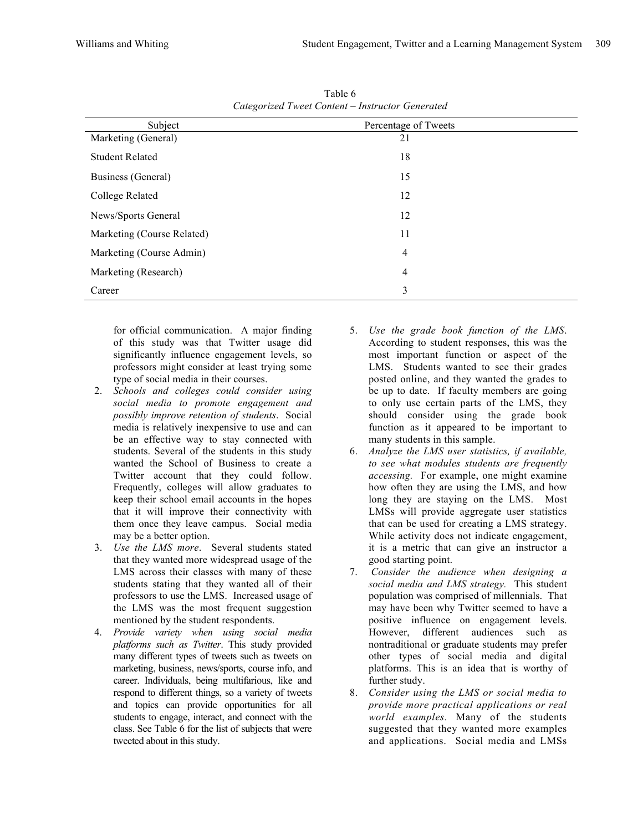| Calczonizca I weet Content - Instructor Generated |                      |  |  |  |
|---------------------------------------------------|----------------------|--|--|--|
| Subject                                           | Percentage of Tweets |  |  |  |
| Marketing (General)                               | 21                   |  |  |  |
| <b>Student Related</b>                            | 18                   |  |  |  |
| Business (General)                                | 15                   |  |  |  |
| College Related                                   | 12                   |  |  |  |
| News/Sports General                               | 12                   |  |  |  |
| Marketing (Course Related)                        | 11                   |  |  |  |
| Marketing (Course Admin)                          | 4                    |  |  |  |
| Marketing (Research)                              | 4                    |  |  |  |
| Career                                            | 3                    |  |  |  |

Table 6 *Categorized Tweet Content – Instructor Generated*

for official communication. A major finding of this study was that Twitter usage did significantly influence engagement levels, so professors might consider at least trying some type of social media in their courses.

- 2. *Schools and colleges could consider using social media to promote engagement and possibly improve retention of students*. Social media is relatively inexpensive to use and can be an effective way to stay connected with students. Several of the students in this study wanted the School of Business to create a Twitter account that they could follow. Frequently, colleges will allow graduates to keep their school email accounts in the hopes that it will improve their connectivity with them once they leave campus. Social media may be a better option.
- 3. *Use the LMS more*. Several students stated that they wanted more widespread usage of the LMS across their classes with many of these students stating that they wanted all of their professors to use the LMS. Increased usage of the LMS was the most frequent suggestion mentioned by the student respondents.
- 4. *Provide variety when using social media platforms such as Twitter*. This study provided many different types of tweets such as tweets on marketing, business, news/sports, course info, and career. Individuals, being multifarious, like and respond to different things, so a variety of tweets and topics can provide opportunities for all students to engage, interact, and connect with the class. See Table 6 for the list of subjects that were tweeted about in this study.
- 5. *Use the grade book function of the LMS*. According to student responses, this was the most important function or aspect of the LMS. Students wanted to see their grades posted online, and they wanted the grades to be up to date. If faculty members are going to only use certain parts of the LMS, they should consider using the grade book function as it appeared to be important to many students in this sample.
- 6. *Analyze the LMS user statistics, if available, to see what modules students are frequently accessing.* For example, one might examine how often they are using the LMS, and how long they are staying on the LMS. Most LMSs will provide aggregate user statistics that can be used for creating a LMS strategy. While activity does not indicate engagement, it is a metric that can give an instructor a good starting point.
- 7. *Consider the audience when designing a social media and LMS strategy.* This student population was comprised of millennials. That may have been why Twitter seemed to have a positive influence on engagement levels. However, different audiences such as nontraditional or graduate students may prefer other types of social media and digital platforms. This is an idea that is worthy of further study.
- 8. *Consider using the LMS or social media to provide more practical applications or real world examples.* Many of the students suggested that they wanted more examples and applications. Social media and LMSs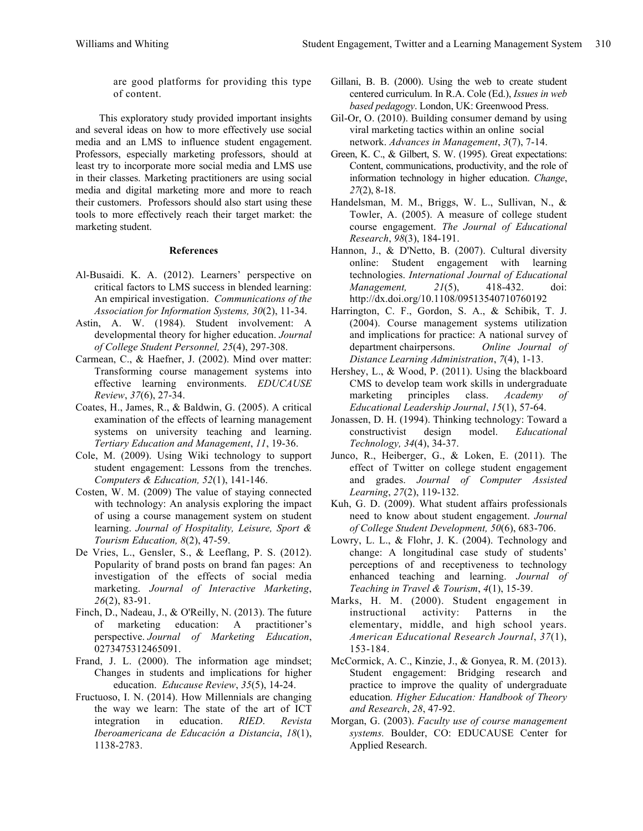are good platforms for providing this type of content.

This exploratory study provided important insights and several ideas on how to more effectively use social media and an LMS to influence student engagement. Professors, especially marketing professors, should at least try to incorporate more social media and LMS use in their classes. Marketing practitioners are using social media and digital marketing more and more to reach their customers. Professors should also start using these tools to more effectively reach their target market: the marketing student.

#### **References**

- Al-Busaidi. K. A. (2012). Learners' perspective on critical factors to LMS success in blended learning: An empirical investigation. *Communications of the Association for Information Systems, 30*(2), 11-34.
- Astin, A. W. (1984). Student involvement: A developmental theory for higher education. *Journal of College Student Personnel, 25*(4), 297-308.
- Carmean, C., & Haefner, J. (2002). Mind over matter: Transforming course management systems into effective learning environments. *EDUCAUSE Review*, *37*(6), 27-34.
- Coates, H., James, R., & Baldwin, G. (2005). A critical examination of the effects of learning management systems on university teaching and learning. *Tertiary Education and Management*, *11*, 19-36.
- Cole, M. (2009). Using Wiki technology to support student engagement: Lessons from the trenches. *Computers & Education, 52*(1), 141-146.
- Costen, W. M. (2009) The value of staying connected with technology: An analysis exploring the impact of using a course management system on student learning. *Journal of Hospitality, Leisure, Sport & Tourism Education, 8*(2), 47-59.
- De Vries, L., Gensler, S., & Leeflang, P. S. (2012). Popularity of brand posts on brand fan pages: An investigation of the effects of social media marketing. *Journal of Interactive Marketing*, *26*(2), 83-91.
- Finch, D., Nadeau, J., & O'Reilly, N. (2013). The future of marketing education: A practitioner's perspective. *Journal of Marketing Education*, 0273475312465091.
- Frand, J. L. (2000). The information age mindset; Changes in students and implications for higher education. *Educause Review*, *35*(5), 14-24.
- Fructuoso, I. N. (2014). How Millennials are changing the way we learn: The state of the art of ICT integration in education. *RIED*. *Revista Iberoamericana de Educación a Distancia*, *18*(1), 1138-2783.
- Gillani, B. B. (2000). Using the web to create student centered curriculum. In R.A. Cole (Ed.), *Issues in web based pedagogy*. London, UK: Greenwood Press.
- Gil-Or, O. (2010). Building consumer demand by using viral marketing tactics within an online social network. *Advances in Management*, *3*(7), 7-14.
- Green, K. C., & Gilbert, S. W. (1995). Great expectations: Content, communications, productivity, and the role of information technology in higher education. *Change*, *27*(2), 8-18.
- Handelsman, M. M., Briggs, W. L., Sullivan, N., & Towler, A. (2005). A measure of college student course engagement. *The Journal of Educational Research*, *98*(3), 184-191.
- Hannon, J., & D'Netto, B. (2007). Cultural diversity online: Student engagement with learning technologies. *International Journal of Educational Management, 21*(5), 418-432. doi: http://dx.doi.org/10.1108/09513540710760192
- Harrington, C. F., Gordon, S. A., & Schibik, T. J. (2004). Course management systems utilization and implications for practice: A national survey of department chairpersons. *Online Journal of Distance Learning Administration*, *7*(4), 1-13.
- Hershey, L., & Wood, P. (2011). Using the blackboard CMS to develop team work skills in undergraduate marketing principles class. *Academy of Educational Leadership Journal*, *15*(1), 57-64.
- Jonassen, D. H. (1994). Thinking technology: Toward a constructivist design model. *Educational Technology, 34*(4), 34-37.
- Junco, R., Heiberger, G., & Loken, E. (2011). The effect of Twitter on college student engagement and grades. *Journal of Computer Assisted Learning*, *27*(2), 119-132.
- Kuh, G. D. (2009). What student affairs professionals need to know about student engagement. *Journal of College Student Development, 50*(6), 683-706.
- Lowry, L. L., & Flohr, J. K. (2004). Technology and change: A longitudinal case study of students' perceptions of and receptiveness to technology enhanced teaching and learning. *Journal of Teaching in Travel & Tourism*, *4*(1), 15-39.
- Marks, H. M. (2000). Student engagement in instructional activity: Patterns in the elementary, middle, and high school years. *American Educational Research Journal*, *37*(1), 153-184.
- McCormick, A. C., Kinzie, J., & Gonyea, R. M. (2013). Student engagement: Bridging research and practice to improve the quality of undergraduate education*. Higher Education: Handbook of Theory and Research*, *28*, 47-92.
- Morgan, G. (2003). *Faculty use of course management systems.* Boulder, CO: EDUCAUSE Center for Applied Research.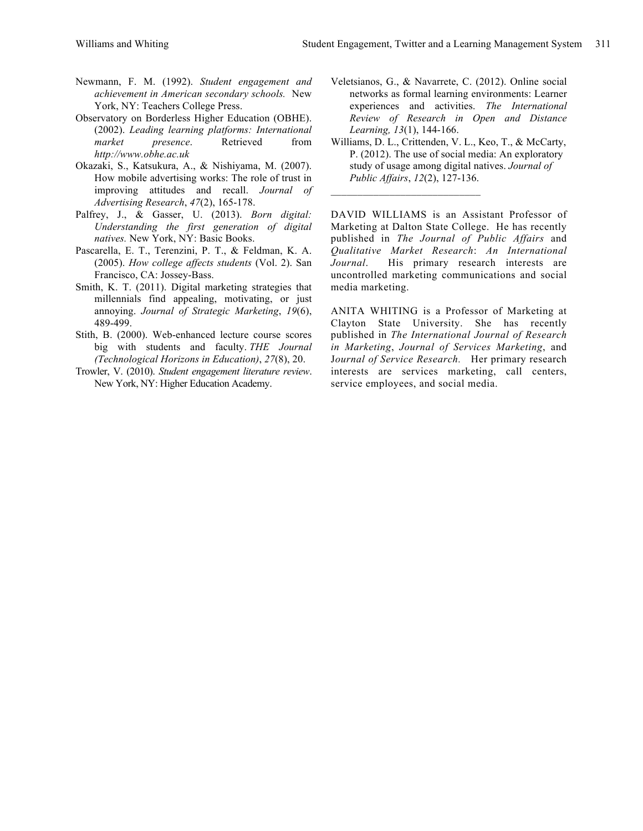- Newmann, F. M. (1992). *Student engagement and achievement in American secondary schools.* New York, NY: Teachers College Press.
- Observatory on Borderless Higher Education (OBHE). (2002). *Leading learning platforms: International market presence*. Retrieved from *http://www.obhe.ac.uk*
- Okazaki, S., Katsukura, A., & Nishiyama, M. (2007). How mobile advertising works: The role of trust in improving attitudes and recall. *Journal of Advertising Research*, *47*(2), 165-178.
- Palfrey, J., & Gasser, U. (2013). *Born digital: Understanding the first generation of digital natives.* New York, NY: Basic Books.
- Pascarella, E. T., Terenzini, P. T., & Feldman, K. A. (2005). *How college affects students* (Vol. 2). San Francisco, CA: Jossey-Bass.
- Smith, K. T. (2011). Digital marketing strategies that millennials find appealing, motivating, or just annoying. *Journal of Strategic Marketing*, *19*(6), 489-499.
- Stith, B. (2000). Web-enhanced lecture course scores big with students and faculty. *THE Journal (Technological Horizons in Education)*, *27*(8), 20.
- Trowler, V. (2010). *Student engagement literature review*. New York, NY: Higher Education Academy.
- Veletsianos, G., & Navarrete, C. (2012). Online social networks as formal learning environments: Learner experiences and activities. *The International Review of Research in Open and Distance Learning, 13*(1), 144-166.
- Williams, D. L., Crittenden, V. L., Keo, T., & McCarty, P. (2012). The use of social media: An exploratory study of usage among digital natives. *Journal of Public Affairs*, *12*(2), 127-136.

 $\mathcal{L}_\text{max}$  , where  $\mathcal{L}_\text{max}$  and  $\mathcal{L}_\text{max}$ 

DAVID WILLIAMS is an Assistant Professor of Marketing at Dalton State College. He has recently published in *The Journal of Public Affairs* and *Qualitative Market Research*: *An International Journal*. His primary research interests are uncontrolled marketing communications and social media marketing.

ANITA WHITING is a Professor of Marketing at Clayton State University. She has recently published in *The International Journal of Research in Marketing*, *Journal of Services Marketing*, and J*ournal of Service Research.* Her primary research interests are services marketing, call centers, service employees, and social media.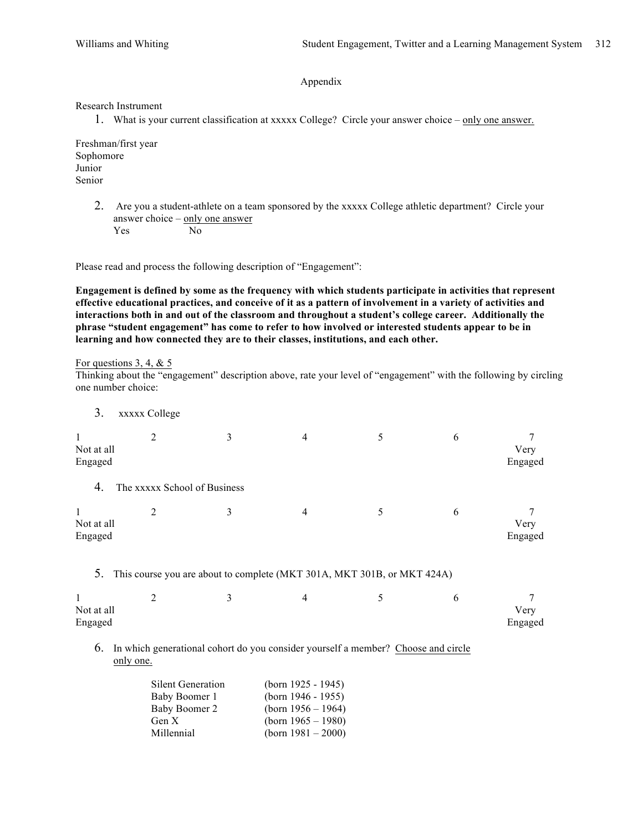Appendix

Research Instrument

1. What is your current classification at xxxxx College? Circle your answer choice – only one answer.

Freshman/first year Sophomore Junior Senior

> 2. Are you a student-athlete on a team sponsored by the xxxxx College athletic department? Circle your answer choice – only one answer Yes No

Please read and process the following description of "Engagement":

**Engagement is defined by some as the frequency with which students participate in activities that represent effective educational practices, and conceive of it as a pattern of involvement in a variety of activities and interactions both in and out of the classroom and throughout a student's college career. Additionally the phrase "student engagement" has come to refer to how involved or interested students appear to be in learning and how connected they are to their classes, institutions, and each other.**

For questions 3, 4,  $& 5$ 

Thinking about the "engagement" description above, rate your level of "engagement" with the following by circling one number choice:

3. xxxxx College

| Not at all<br>Engaged | 2                            | 3                                                                       | 4 | 5 | 6 | Very<br>Engaged |
|-----------------------|------------------------------|-------------------------------------------------------------------------|---|---|---|-----------------|
| 4.                    | The xxxxx School of Business |                                                                         |   |   |   |                 |
| Not at all<br>Engaged | 2                            | 3                                                                       | 4 | 5 | 6 | Very<br>Engaged |
| 5.                    |                              | This course you are about to complete (MKT 301A, MKT 301B, or MKT 424A) |   |   |   |                 |
| Not at all<br>Engaged | 2                            | 3                                                                       | 4 | 5 | 6 | Very<br>Engaged |

6. In which generational cohort do you consider yourself a member? Choose and circle only one.

| <b>Silent Generation</b> | (born $1925 - 1945$ ) |
|--------------------------|-----------------------|
| Baby Boomer 1            | (born $1946 - 1955$ ) |
| Baby Boomer 2            | (born $1956 - 1964$ ) |
| Gen X                    | (born $1965 - 1980$ ) |
| Millennial               | (born $1981 - 2000$ ) |